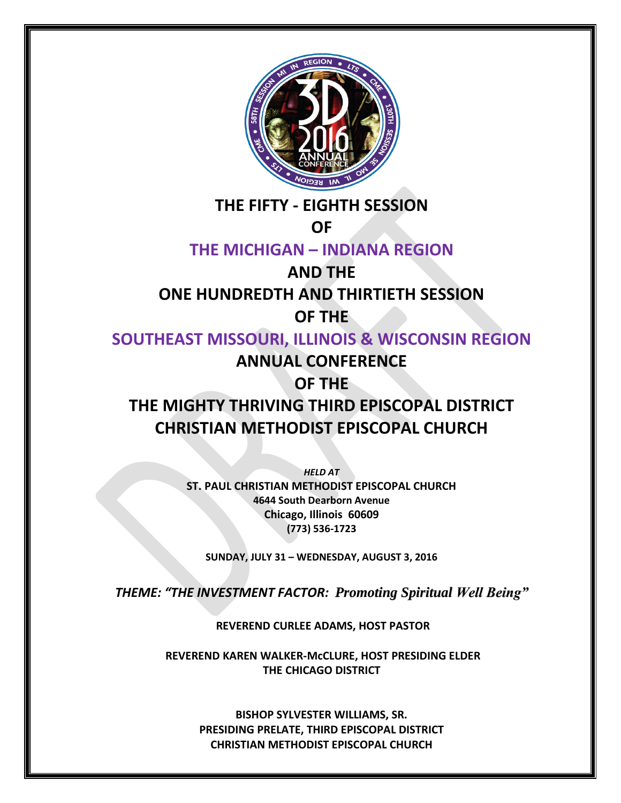

### **THE FIFTY - EIGHTH SESSION**

### **OF**

## **THE MICHIGAN – INDIANA REGION**

## **AND THE**

## **ONE HUNDREDTH AND THIRTIETH SESSION**

### **OF THE**

**SOUTHEAST MISSOURI, ILLINOIS & WISCONSIN REGION**

## **ANNUAL CONFERENCE**

## **OF THE**

# **THE MIGHTY THRIVING THIRD EPISCOPAL DISTRICT CHRISTIAN METHODIST EPISCOPAL CHURCH**

*HELD AT* **ST. PAUL CHRISTIAN METHODIST EPISCOPAL CHURCH 4644 South Dearborn Avenue Chicago, Illinois 60609 (773) 536-1723**

**SUNDAY, JULY 31 – WEDNESDAY, AUGUST 3, 2016**

*THEME: "THE INVESTMENT FACTOR: Promoting Spiritual Well Being"*

**REVEREND CURLEE ADAMS, HOST PASTOR**

**REVEREND KAREN WALKER-McCLURE, HOST PRESIDING ELDER THE CHICAGO DISTRICT**

> **BISHOP SYLVESTER WILLIAMS, SR. PRESIDING PRELATE, THIRD EPISCOPAL DISTRICT CHRISTIAN METHODIST EPISCOPAL CHURCH**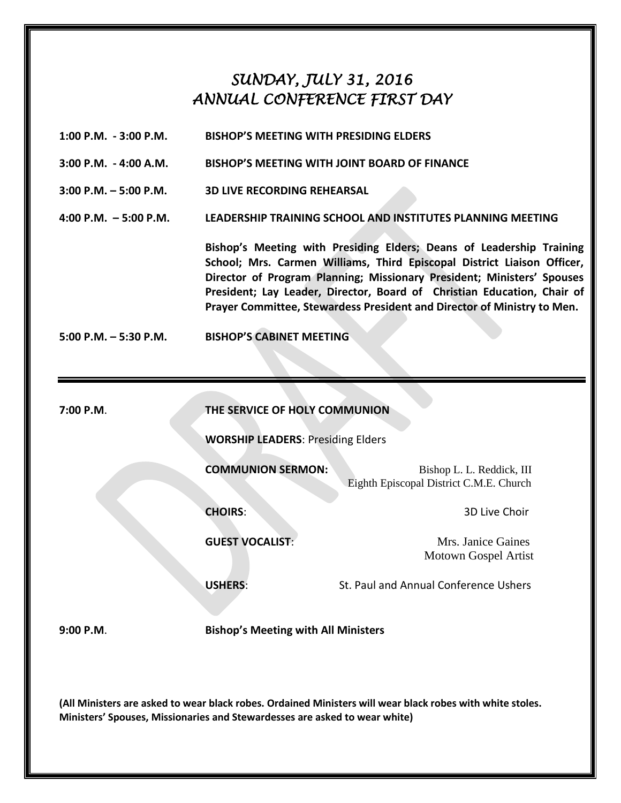## *SUNDAY, JULY 31, 2016 ANNUAL CONFERENCE FIRST DAY*

| $1:00$ P.M. $-3:00$ P.M. | <b>BISHOP'S MEETING WITH PRESIDING ELDERS</b>                                                                                                                                                                                                                                                                                                                                   |
|--------------------------|---------------------------------------------------------------------------------------------------------------------------------------------------------------------------------------------------------------------------------------------------------------------------------------------------------------------------------------------------------------------------------|
| $3:00$ P.M. $-4:00$ A.M. | BISHOP'S MEETING WITH JOINT BOARD OF FINANCE                                                                                                                                                                                                                                                                                                                                    |
| $3:00$ P.M. $-5:00$ P.M. | <b>3D LIVE RECORDING REHEARSAL</b>                                                                                                                                                                                                                                                                                                                                              |
| 4:00 P.M. $-5:00$ P.M.   | LEADERSHIP TRAINING SCHOOL AND INSTITUTES PLANNING MEETING                                                                                                                                                                                                                                                                                                                      |
|                          | Bishop's Meeting with Presiding Elders; Deans of Leadership Training<br>School; Mrs. Carmen Williams, Third Episcopal District Liaison Officer,<br>Director of Program Planning; Missionary President; Ministers' Spouses<br>President; Lay Leader, Director, Board of Christian Education, Chair of<br>Prayer Committee, Stewardess President and Director of Ministry to Men. |
| $5:00$ P.M. $-5:30$ P.M. | <b>BISHOP'S CABINET MEETING</b>                                                                                                                                                                                                                                                                                                                                                 |
|                          |                                                                                                                                                                                                                                                                                                                                                                                 |
| 7:00 P.M.                | THE SERVICE OF HOLY COMMUNION                                                                                                                                                                                                                                                                                                                                                   |
|                          | <b>WORSHIP LEADERS: Presiding Elders</b>                                                                                                                                                                                                                                                                                                                                        |

**COMMUNION SERMON:** Bishop L. L. Reddick, III Eighth Episcopal District C.M.E. Church

**CHOIRS:** 3D Live Choir

**GUEST VOCALIST:** Mrs. Janice Gaines Motown Gospel Artist

**USHERS:** St. Paul and Annual Conference Ushers

**9:00 P.M**. **Bishop's Meeting with All Ministers**

**(All Ministers are asked to wear black robes. Ordained Ministers will wear black robes with white stoles. Ministers' Spouses, Missionaries and Stewardesses are asked to wear white)**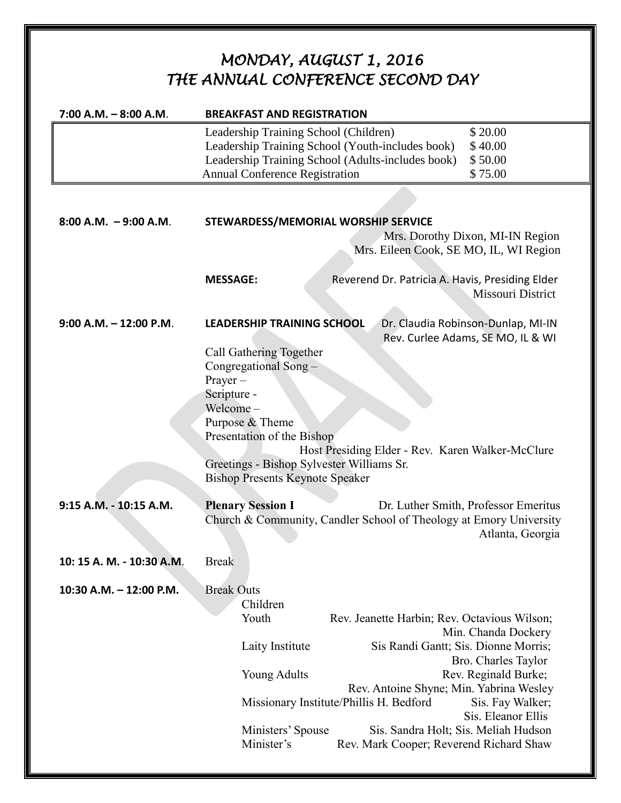# *MONDAY, AUGUST 1, 2016 THE ANNUAL CONFERENCE SECOND DAY*

| $7:00$ A.M. $-8:00$ A.M.  | <b>BREAKFAST AND REGISTRATION</b>                                                                                                                                                                                                                                                                                                                                                                                                                                                                    |
|---------------------------|------------------------------------------------------------------------------------------------------------------------------------------------------------------------------------------------------------------------------------------------------------------------------------------------------------------------------------------------------------------------------------------------------------------------------------------------------------------------------------------------------|
|                           | \$20.00<br>Leadership Training School (Children)<br>Leadership Training School (Youth-includes book)<br>\$40.00<br>Leadership Training School (Adults-includes book)<br>\$50.00<br><b>Annual Conference Registration</b><br>\$75.00                                                                                                                                                                                                                                                                  |
| $8:00$ A.M. $-9:00$ A.M.  | STEWARDESS/MEMORIAL WORSHIP SERVICE<br>Mrs. Dorothy Dixon, MI-IN Region<br>Mrs. Eileen Cook, SE MO, IL, WI Region<br><b>MESSAGE:</b><br>Reverend Dr. Patricia A. Havis, Presiding Elder<br>Missouri District                                                                                                                                                                                                                                                                                         |
| $9:00$ A.M. $-12:00$ P.M. | <b>LEADERSHIP TRAINING SCHOOL</b><br>Dr. Claudia Robinson-Dunlap, MI-IN<br>Rev. Curlee Adams, SE MO, IL & WI<br>Call Gathering Together<br>Congregational Song-<br>Prayer-<br>Scripture -<br>Welcome-<br>Purpose & Theme<br>Presentation of the Bishop<br>Host Presiding Elder - Rev. Karen Walker-McClure<br>Greetings - Bishop Sylvester Williams Sr.<br><b>Bishop Presents Keynote Speaker</b>                                                                                                    |
| 9:15 A.M. - 10:15 A.M.    | <b>Plenary Session I</b><br>Dr. Luther Smith, Professor Emeritus<br>Church & Community, Candler School of Theology at Emory University<br>Atlanta, Georgia                                                                                                                                                                                                                                                                                                                                           |
| 10: 15 A. M. - 10:30 A.M. | <b>Break</b>                                                                                                                                                                                                                                                                                                                                                                                                                                                                                         |
| 10:30 A.M. - 12:00 P.M.   | <b>Break Outs</b><br>Children<br>Youth<br>Rev. Jeanette Harbin; Rev. Octavious Wilson;<br>Min. Chanda Dockery<br>Laity Institute<br>Sis Randi Gantt; Sis. Dionne Morris;<br>Bro. Charles Taylor<br><b>Young Adults</b><br>Rev. Reginald Burke;<br>Rev. Antoine Shyne; Min. Yabrina Wesley<br>Missionary Institute/Phillis H. Bedford<br>Sis. Fay Walker;<br>Sis. Eleanor Ellis<br>Sis. Sandra Holt; Sis. Meliah Hudson<br>Ministers' Spouse<br>Minister's<br>Rev. Mark Cooper; Reverend Richard Shaw |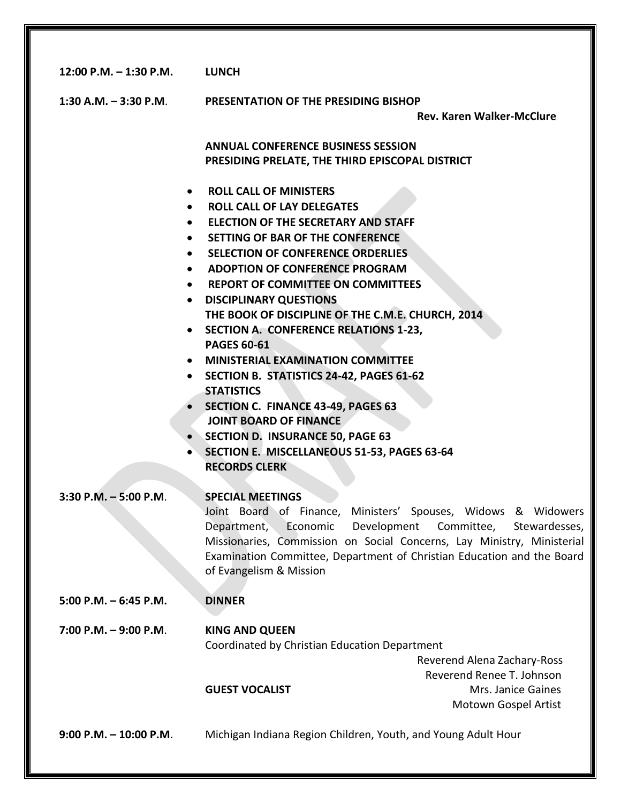| 12:00 P.M. $-$ 1:30 P.M.                         | <b>LUNCH</b>                                                                                                                                                                                                                                                                                                                                                                                                                                                                                                                                                                                                                                                                                                                        |
|--------------------------------------------------|-------------------------------------------------------------------------------------------------------------------------------------------------------------------------------------------------------------------------------------------------------------------------------------------------------------------------------------------------------------------------------------------------------------------------------------------------------------------------------------------------------------------------------------------------------------------------------------------------------------------------------------------------------------------------------------------------------------------------------------|
| $1:30$ A.M. $-3:30$ P.M.                         | <b>PRESENTATION OF THE PRESIDING BISHOP</b><br><b>Rev. Karen Walker-McClure</b>                                                                                                                                                                                                                                                                                                                                                                                                                                                                                                                                                                                                                                                     |
|                                                  | <b>ANNUAL CONFERENCE BUSINESS SESSION</b><br>PRESIDING PRELATE, THE THIRD EPISCOPAL DISTRICT                                                                                                                                                                                                                                                                                                                                                                                                                                                                                                                                                                                                                                        |
| $\bullet$<br>$\bullet$<br>$\bullet$<br>$\bullet$ | <b>ROLL CALL OF MINISTERS</b><br><b>ROLL CALL OF LAY DELEGATES</b><br><b>ELECTION OF THE SECRETARY AND STAFF</b><br>SETTING OF BAR OF THE CONFERENCE<br><b>SELECTION OF CONFERENCE ORDERLIES</b><br>ADOPTION OF CONFERENCE PROGRAM<br><b>REPORT OF COMMITTEE ON COMMITTEES</b><br><b>DISCIPLINARY QUESTIONS</b><br>THE BOOK OF DISCIPLINE OF THE C.M.E. CHURCH, 2014<br>• SECTION A. CONFERENCE RELATIONS 1-23,<br><b>PAGES 60-61</b><br>• MINISTERIAL EXAMINATION COMMITTEE<br>• SECTION B. STATISTICS 24-42, PAGES 61-62<br><b>STATISTICS</b><br>• SECTION C. FINANCE 43-49, PAGES 63<br><b>JOINT BOARD OF FINANCE</b><br>SECTION D. INSURANCE 50, PAGE 63<br>SECTION E. MISCELLANEOUS 51-53, PAGES 63-64<br><b>RECORDS CLERK</b> |
| $3:30$ P.M. $-5:00$ P.M.                         | <b>SPECIAL MEETINGS</b><br>Joint Board of Finance, Ministers' Spouses, Widows & Widowers<br>Development<br>Economic<br>Committee,<br>Department,<br>Stewardesses,<br>Missionaries, Commission on Social Concerns, Lay Ministry, Ministerial<br>Examination Committee, Department of Christian Education and the Board<br>of Evangelism & Mission                                                                                                                                                                                                                                                                                                                                                                                    |
| 5:00 P.M. $-$ 6:45 P.M.                          | <b>DINNER</b>                                                                                                                                                                                                                                                                                                                                                                                                                                                                                                                                                                                                                                                                                                                       |
| $7:00$ P.M. $-9:00$ P.M.                         | <b>KING AND QUEEN</b><br>Coordinated by Christian Education Department<br>Reverend Alena Zachary-Ross                                                                                                                                                                                                                                                                                                                                                                                                                                                                                                                                                                                                                               |
|                                                  | Reverend Renee T. Johnson<br>Mrs. Janice Gaines<br><b>GUEST VOCALIST</b><br>Motown Gospel Artist                                                                                                                                                                                                                                                                                                                                                                                                                                                                                                                                                                                                                                    |
| $9:00$ P.M. $-10:00$ P.M.                        | Michigan Indiana Region Children, Youth, and Young Adult Hour                                                                                                                                                                                                                                                                                                                                                                                                                                                                                                                                                                                                                                                                       |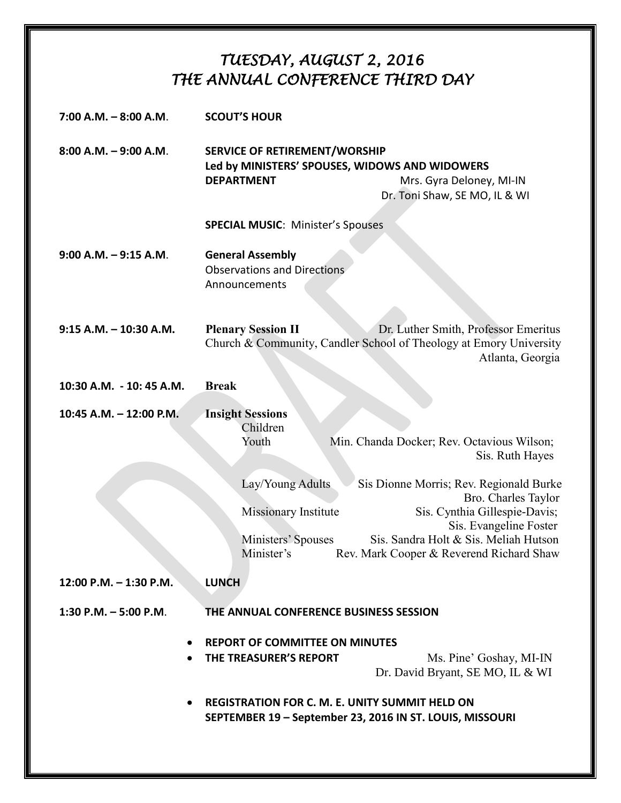## *TUESDAY, AUGUST 2, 2016 THE ANNUAL CONFERENCE THIRD DAY*

| $7:00$ A.M. $-8:00$ A.M.  | <b>SCOUT'S HOUR</b>                                                                                                                                                                                                                                                                                                                                                                                             |
|---------------------------|-----------------------------------------------------------------------------------------------------------------------------------------------------------------------------------------------------------------------------------------------------------------------------------------------------------------------------------------------------------------------------------------------------------------|
| $8:00$ A.M. $-9:00$ A.M.  | SERVICE OF RETIREMENT/WORSHIP<br>Led by MINISTERS' SPOUSES, WIDOWS AND WIDOWERS<br><b>DEPARTMENT</b><br>Mrs. Gyra Deloney, MI-IN<br>Dr. Toni Shaw, SE MO, IL & WI                                                                                                                                                                                                                                               |
|                           | <b>SPECIAL MUSIC: Minister's Spouses</b>                                                                                                                                                                                                                                                                                                                                                                        |
| $9:00$ A.M. $-9:15$ A.M.  | <b>General Assembly</b><br><b>Observations and Directions</b><br>Announcements                                                                                                                                                                                                                                                                                                                                  |
| $9:15$ A.M. $-10:30$ A.M. | Dr. Luther Smith, Professor Emeritus<br><b>Plenary Session II</b><br>Church & Community, Candler School of Theology at Emory University<br>Atlanta, Georgia                                                                                                                                                                                                                                                     |
| 10:30 A.M. - 10:45 A.M.   | <b>Break</b>                                                                                                                                                                                                                                                                                                                                                                                                    |
| 10:45 A.M. - 12:00 P.M.   | <b>Insight Sessions</b><br>Children<br>Youth<br>Min. Chanda Docker; Rev. Octavious Wilson;<br>Sis. Ruth Hayes<br>Lay/Young Adults<br>Sis Dionne Morris; Rev. Regionald Burke<br>Bro. Charles Taylor<br>Sis. Cynthia Gillespie-Davis;<br>Missionary Institute<br>Sis. Evangeline Foster<br>Sis. Sandra Holt & Sis. Meliah Hutson<br>Ministers' Spouses<br>Minister's<br>Rev. Mark Cooper & Reverend Richard Shaw |
| $12:00$ P.M. $-1:30$ P.M. | <b>LUNCH</b>                                                                                                                                                                                                                                                                                                                                                                                                    |
| 1:30 P.M. $-$ 5:00 P.M.   | THE ANNUAL CONFERENCE BUSINESS SESSION                                                                                                                                                                                                                                                                                                                                                                          |
|                           | <b>REPORT OF COMMITTEE ON MINUTES</b><br>THE TREASURER'S REPORT<br>Ms. Pine' Goshay, MI-IN<br>Dr. David Bryant, SE MO, IL & WI<br><b>REGISTRATION FOR C. M. E. UNITY SUMMIT HELD ON</b><br>SEPTEMBER 19 - September 23, 2016 IN ST. LOUIS, MISSOURI                                                                                                                                                             |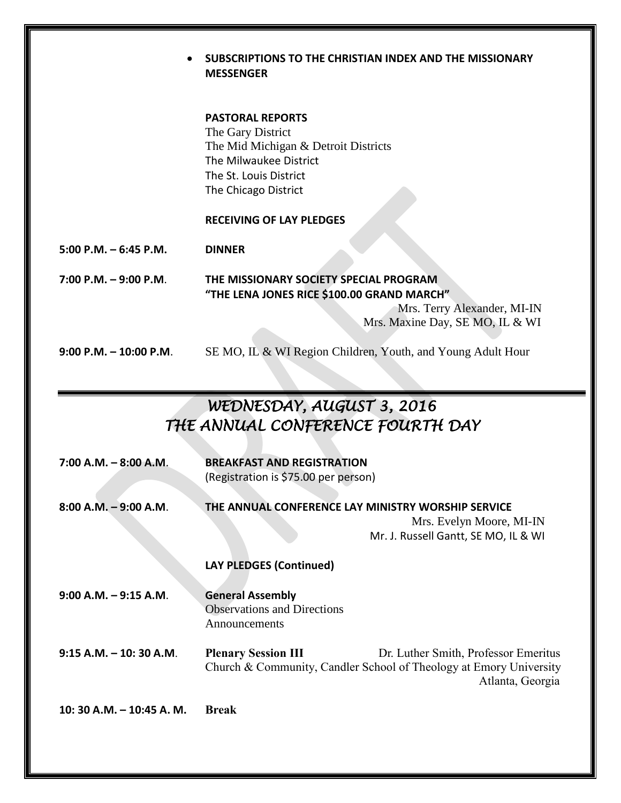|                                                               | SUBSCRIPTIONS TO THE CHRISTIAN INDEX AND THE MISSIONARY<br><b>MESSENGER</b>                                                                                      |  |
|---------------------------------------------------------------|------------------------------------------------------------------------------------------------------------------------------------------------------------------|--|
|                                                               | <b>PASTORAL REPORTS</b><br>The Gary District<br>The Mid Michigan & Detroit Districts<br>The Milwaukee District<br>The St. Louis District<br>The Chicago District |  |
|                                                               | <b>RECEIVING OF LAY PLEDGES</b>                                                                                                                                  |  |
| $5:00$ P.M. $-6:45$ P.M.                                      | <b>DINNER</b>                                                                                                                                                    |  |
| $7:00$ P.M. $-9:00$ P.M.                                      | THE MISSIONARY SOCIETY SPECIAL PROGRAM<br>"THE LENA JONES RICE \$100.00 GRAND MARCH"<br>Mrs. Terry Alexander, MI-IN<br>Mrs. Maxine Day, SE MO, IL & WI           |  |
| $9:00$ P.M. $-10:00$ P.M.                                     | SE MO, IL & WI Region Children, Youth, and Young Adult Hour                                                                                                      |  |
| WEDNESDAY, AUGUST 3, 2016<br>THE ANNUAL CONFERENCE FOURTH DAY |                                                                                                                                                                  |  |
| $7:00 A.M. - 8:00 A.M.$                                       | <b>BREAKFAST AND REGISTRATION</b><br>(Registration is \$75.00 per person)                                                                                        |  |
| $8:00$ A.M. $-9:00$ A.M.                                      | THE ANNUAL CONFERENCE LAY MINISTRY WORSHIP SERVICE<br>Mrs. Evelyn Moore, MI-IN<br>Mr. J. Russell Gantt, SE MO, IL & WI                                           |  |
|                                                               | <b>LAY PLEDGES (Continued)</b>                                                                                                                                   |  |
| $9:00$ A.M. $-9:15$ A.M.                                      | <b>General Assembly</b><br><b>Observations and Directions</b><br>Announcements                                                                                   |  |

**9:15 A.M. – 10: 30 A.M**. **Plenary Session III** Dr. Luther Smith, Professor Emeritus Church & Community, Candler School of Theology at Emory University Atlanta, Georgia

**10: 30 A.M. – 10:45 A. M. Break**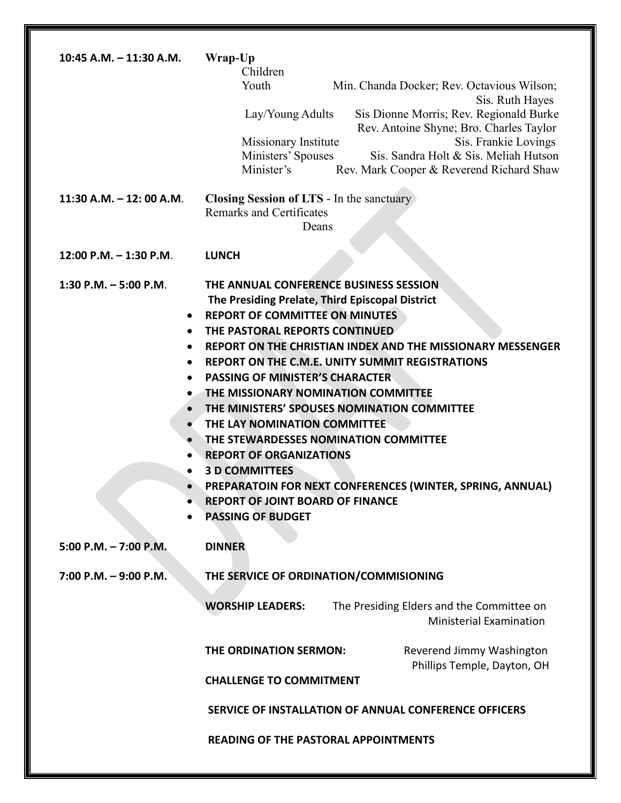| 10:45 A.M. - 11:30 A.M.  | Wrap-Up                                                                                                |
|--------------------------|--------------------------------------------------------------------------------------------------------|
|                          | Children                                                                                               |
|                          | Youth<br>Min. Chanda Docker; Rev. Octavious Wilson;<br>Sis. Ruth Hayes                                 |
|                          | Sis Dionne Morris; Rev. Regionald Burke<br>Lay/Young Adults<br>Rev. Antoine Shyne; Bro. Charles Taylor |
|                          | Sis. Frankie Lovings<br>Missionary Institute                                                           |
|                          | Sis. Sandra Holt & Sis. Meliah Hutson<br>Ministers' Spouses                                            |
|                          | Minister's<br>Rev. Mark Cooper & Reverend Richard Shaw                                                 |
| 11:30 A.M. - 12:00 A.M.  | <b>Closing Session of LTS</b> - In the sanctuary<br><b>Remarks and Certificates</b><br>Deans           |
| 12:00 P.M. - 1:30 P.M.   | <b>LUNCH</b>                                                                                           |
|                          |                                                                                                        |
| 1:30 P.M. $-$ 5:00 P.M.  | THE ANNUAL CONFERENCE BUSINESS SESSION<br>The Presiding Prelate, Third Episcopal District              |
| $\bullet$                | <b>REPORT OF COMMITTEE ON MINUTES</b>                                                                  |
| $\bullet$                | THE PASTORAL REPORTS CONTINUED                                                                         |
|                          | <b>REPORT ON THE CHRISTIAN INDEX AND THE MISSIONARY MESSENGER</b>                                      |
| $\bullet$                | REPORT ON THE C.M.E. UNITY SUMMIT REGISTRATIONS                                                        |
| $\bullet$                | <b>PASSING OF MINISTER'S CHARACTER</b>                                                                 |
| $\bullet$                | THE MISSIONARY NOMINATION COMMITTEE<br>THE MINISTERS' SPOUSES NOMINATION COMMITTEE                     |
|                          | THE LAY NOMINATION COMMITTEE                                                                           |
|                          | THE STEWARDESSES NOMINATION COMMITTEE                                                                  |
|                          | <b>REPORT OF ORGANIZATIONS</b>                                                                         |
| $\bullet$                | <b>3 D COMMITTEES</b>                                                                                  |
|                          | PREPARATOIN FOR NEXT CONFERENCES (WINTER, SPRING, ANNUAL)                                              |
|                          | <b>REPORT OF JOINT BOARD OF FINANCE</b>                                                                |
|                          | <b>PASSING OF BUDGET</b>                                                                               |
| 5:00 P.M. $- 7:00$ P.M.  | <b>DINNER</b>                                                                                          |
| $7:00$ P.M. $-9:00$ P.M. | THE SERVICE OF ORDINATION/COMMISIONING                                                                 |
|                          | <b>WORSHIP LEADERS:</b><br>The Presiding Elders and the Committee on<br><b>Ministerial Examination</b> |
|                          | THE ORDINATION SERMON:<br>Reverend Jimmy Washington<br>Phillips Temple, Dayton, OH                     |
|                          | <b>CHALLENGE TO COMMITMENT</b>                                                                         |
|                          |                                                                                                        |
|                          | SERVICE OF INSTALLATION OF ANNUAL CONFERENCE OFFICERS                                                  |
|                          | <b>READING OF THE PASTORAL APPOINTMENTS</b>                                                            |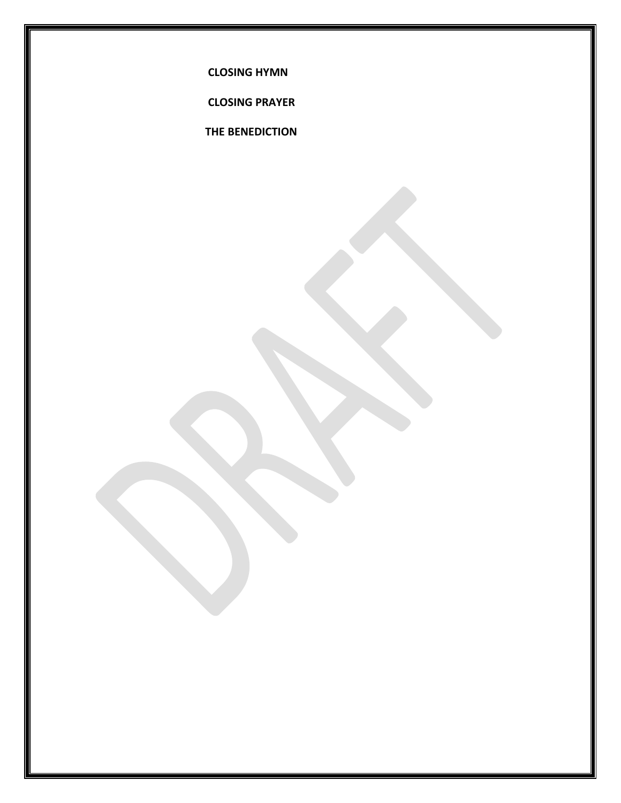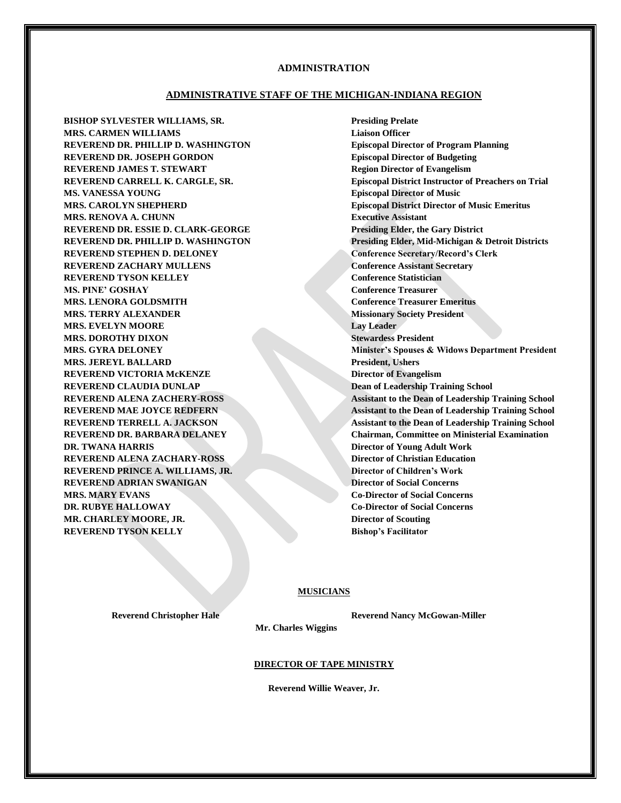### **ADMINISTRATION**

#### **ADMINISTRATIVE STAFF OF THE MICHIGAN-INDIANA REGION**

**BISHOP SYLVESTER WILLIAMS, SR. Presiding Prelate MRS. CARMEN WILLIAMS Liaison Officer REVEREND DR. PHILLIP D. WASHINGTON Episcopal Director of Program Planning REVEREND DR. JOSEPH GORDON Episcopal Director of Budgeting REVEREND JAMES T. STEWART SERVEREND AND REGION Director of Evangelism MS. VANESSA YOUNG Episcopal Director of Music MRS. CAROLYN SHEPHERD Episcopal District Director of Music Emeritus MRS. RENOVA A. CHUNN Executive Assistant REVEREND DR. ESSIE D. CLARK-GEORGE Presiding Elder, the Gary District REVEREND STEPHEN D. DELONEY Conference Secretary/Record's Clerk REVEREND ZACHARY MULLENS Conference Assistant Secretary REVEREND TYSON KELLEY Conference Statistician MS. PINE' GOSHAY Conference Treasurer MRS. LENORA GOLDSMITH Conference Treasurer Emeritus MRS. TERRY ALEXANDER Missionary Society President MRS. EVELYN MOORE Lay Leader MRS. DOROTHY DIXON Stewardess President MRS. JEREYL BALLARD President, Ushers REVEREND VICTORIA McKENZE Director of Evangelism REVEREND CLAUDIA DUNLAP Dean of Leadership Training School DR. TWANA HARRIS Director of Young Adult Work REVEREND ALENA ZACHARY-ROSS Director of Christian Education REVEREND PRINCE A. WILLIAMS, JR. Director of Children's Work REVEREND ADRIAN SWANIGAN Director of Social Concerns MRS. MARY EVANS Co-Director of Social Concerns DR. RUBYE HALLOWAY Co-Director of Social Concerns MR. CHARLEY MOORE, JR. Director of Scouting REVEREND TYSON KELLY Bishop's Facilitator** 

**REVEREND CARRELL K. CARGLE, SR. Episcopal District Instructor of Preachers on Trial REVEREND DR. PHILLIP D. WASHINGTON Presiding Elder, Mid-Michigan & Detroit Districts MRS. GYRA DELONEY Minister's Spouses & Widows Department President REVEREND ALENA ZACHERY-ROSS Assistant to the Dean of Leadership Training School REVEREND MAE JOYCE REDFERN Assistant to the Dean of Leadership Training School REVEREND TERRELL A. JACKSON Assistant to the Dean of Leadership Training School REVEREND DR. BARBARA DELANEY Chairman, Committee on Ministerial Examination** 

#### **MUSICIANS**

**Reverend Christopher Hale Reverend Nancy McGowan-Miller** 

 **Mr. Charles Wiggins**

#### **DIRECTOR OF TAPE MINISTRY**

**Reverend Willie Weaver, Jr.**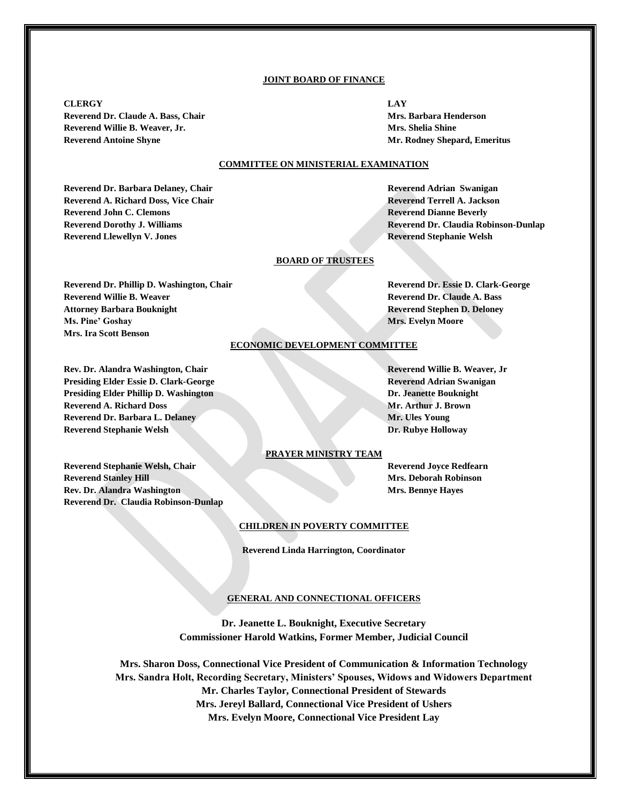#### **JOINT BOARD OF FINANCE**

**CLERGY LAY Reverend Dr. Claude A. Bass, Chair Mrs. Barbara Henderson Mrs. Barbara Henderson Reverend Willie B. Weaver, Jr. Mrs. Shelia Shine Reverend Antoine Shyne Mr. Rodney Shepard, Emeritus** 

### **COMMITTEE ON MINISTERIAL EXAMINATION**

**Reverend Dr. Barbara Delaney, Chair Reverend Adrian Swanigan Reverend A. Richard Doss, Vice Chair Reverend Terrell A. Jackson Reverend John C. Clemons Reverend Dianne Beverly Reverend Llewellyn V. Jones Reverend Stephanie Welsh**

**Reverend Dorothy J. Williams Reverend Dr. Claudia Robinson-Dunlap**

### **BOARD OF TRUSTEES**

**Reverend Dr. Phillip D. Washington, Chair Reverend Dr. Essie D. Clark-George Reverend Willie B. Weaver Reverend Dr. Claude A. Bass Attorney Barbara Bouknight Reverend Stephen D. Deloney Ms. Pine' Goshay Mrs. Evelyn Moore Mrs. Ira Scott Benson**

#### **ECONOMIC DEVELOPMENT COMMITTEE**

**Rev. Dr. Alandra Washington, Chair Reverend Willie B. Weaver, Jr. (2008) Presiding Elder Essie D. Clark-George <b>Reverend Adrian Swanigan** Reverend Adrian Swanigan **Presiding Elder Phillip D. Washington Dr. Jeanette Bouknight Reverend A. Richard Doss Mr. Arthur J. Brown Reverend Dr. Barbara L. Delaney Mr. Ules Young Reverend Stephanie Welsh Dr. Rubye Holloway**

#### **PRAYER MINISTRY TEAM**

**Reverend Stephanie Welsh, Chair Reverend Joyce Redfearn Reverend Stanley Hill Mrs. Deborah Robinson Rev. Dr. Alandra Washington Mrs. Bennye Hayes Reverend Dr. Claudia Robinson-Dunlap**

### **CHILDREN IN POVERTY COMMITTEE**

**Reverend Linda Harrington, Coordinator**

#### **GENERAL AND CONNECTIONAL OFFICERS**

**Dr. Jeanette L. Bouknight, Executive Secretary Commissioner Harold Watkins, Former Member, Judicial Council** 

**Mrs. Sharon Doss, Connectional Vice President of Communication & Information Technology Mrs. Sandra Holt, Recording Secretary, Ministers' Spouses, Widows and Widowers Department Mr. Charles Taylor, Connectional President of Stewards Mrs. Jereyl Ballard, Connectional Vice President of Ushers Mrs. Evelyn Moore, Connectional Vice President Lay**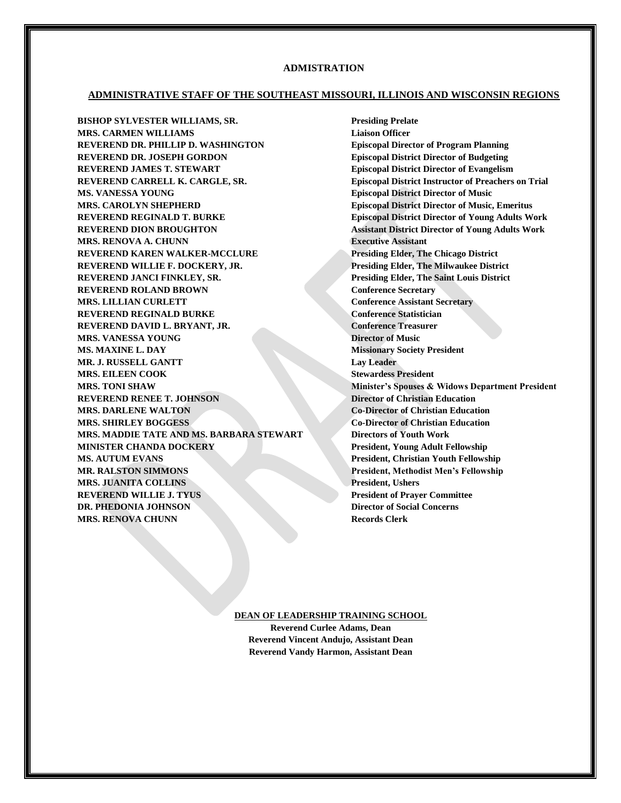### **ADMISTRATION**

#### **ADMINISTRATIVE STAFF OF THE SOUTHEAST MISSOURI, ILLINOIS AND WISCONSIN REGIONS**

**BISHOP SYLVESTER WILLIAMS, SR. Presiding Prelate MRS. CARMEN WILLIAMS Liaison Officer REVEREND DR. PHILLIP D. WASHINGTON Episcopal Director of Program Planning REVEREND DR. JOSEPH GORDON Episcopal District Director of Budgeting REVEREND JAMES T. STEWART Episcopal District Director of Evangelism REVEREND CARRELL K. CARGLE, SR. Episcopal District Instructor of Preachers on Trial MS. VANESSA YOUNG Episcopal District Director of Music MRS. CAROLYN SHEPHERD Episcopal District Director of Music, Emeritus REVEREND REGINALD T. BURKE Episcopal District Director of Young Adults Work REVEREND DION BROUGHTON Assistant District Director of Young Adults Work MRS. RENOVA A. CHUNN Executive Assistant REVEREND KAREN WALKER-MCCLURE Presiding Elder, The Chicago District REVEREND WILLIE F. DOCKERY, JR. Presiding Elder, The Milwaukee District REVEREND JANCI FINKLEY, SR. Presiding Elder, The Saint Louis District REVEREND ROLAND BROWN Conference Secretary MRS. LILLIAN CURLETT CONFERENCE CONFERENCE ASSISTANT CONFERENCE CONFERENCE ASSISTANT SECRETARY REVEREND REGINALD BURKE Conference Statistician REVEREND DAVID L. BRYANT, JR. Conference Treasurer MRS. VANESSA YOUNG Director of Music MS. MAXINE L. DAY Missionary Society President MR. J. RUSSELL GANTT Lay Leader MRS. EILEEN COOK Stewardess President MRS. TONI SHAW <b>MINISTER SPOUSES A** Minister's Spouses & Widows Department President **REVEREND RENEE T. JOHNSON Director of Christian Education MRS. DARLENE WALTON Co-Director of Christian Education MRS. SHIRLEY BOGGESS Co-Director of Christian Education MRS. MADDIE TATE AND MS. BARBARA STEWART Directors of Youth Work MINISTER CHANDA DOCKERY President, Young Adult Fellowship MS. AUTUM EVANS President, Christian Youth Fellowship MR. RALSTON SIMMONS President, Methodist Men's Fellowship MRS. JUANITA COLLINS President, Ushers REVEREND WILLIE J. TYUS President of Prayer Committee DR. PHEDONIA JOHNSON Director of Social Concerns MRS. RENOVA CHUNN Records Clerk** 

#### **DEAN OF LEADERSHIP TRAINING SCHOOL**

**Reverend Curlee Adams, Dean Reverend Vincent Andujo, Assistant Dean Reverend Vandy Harmon, Assistant Dean**